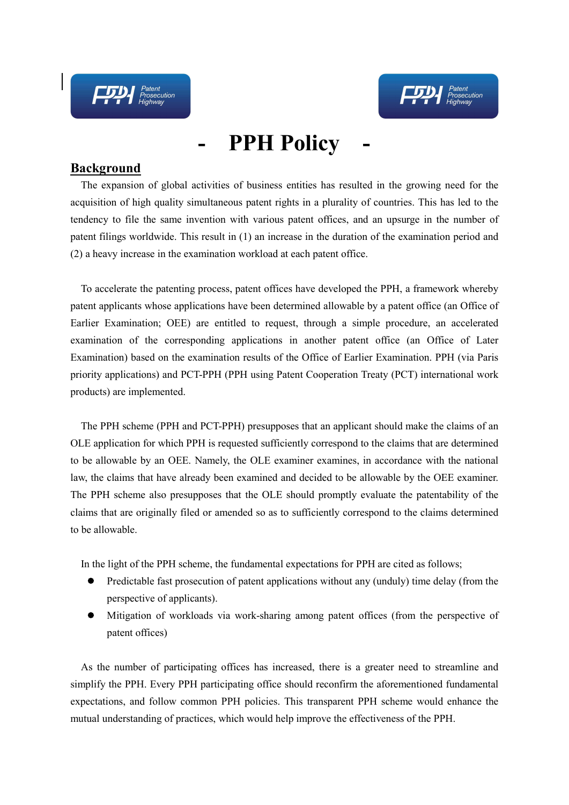

## **- PPH Policy -**

## **Background**

The expansion of global activities of business entities has resulted in the growing need for the acquisition of high quality simultaneous patent rights in a plurality of countries. This has led to the tendency to file the same invention with various patent offices, and an upsurge in the number of patent filings worldwide. This result in (1) an increase in the duration of the examination period and (2) a heavy increase in the examination workload at each patent office.

To accelerate the patenting process, patent offices have developed the PPH, a framework whereby patent applicants whose applications have been determined allowable by a patent office (an Office of Earlier Examination; OEE) are entitled to request, through a simple procedure, an accelerated examination of the corresponding applications in another patent office (an Office of Later Examination) based on the examination results of the Office of Earlier Examination. PPH (via Paris priority applications) and PCT-PPH (PPH using Patent Cooperation Treaty (PCT) international work products) are implemented.

The PPH scheme (PPH and PCT-PPH) presupposes that an applicant should make the claims of an OLE application for which PPH is requested sufficiently correspond to the claims that are determined to be allowable by an OEE. Namely, the OLE examiner examines, in accordance with the national law, the claims that have already been examined and decided to be allowable by the OEE examiner. The PPH scheme also presupposes that the OLE should promptly evaluate the patentability of the claims that are originally filed or amended so as to sufficiently correspond to the claims determined to be allowable.

In the light of the PPH scheme, the fundamental expectations for PPH are cited as follows;

- Predictable fast prosecution of patent applications without any (unduly) time delay (from the  $\bullet$ perspective of applicants).
- Mitigation of workloads via work-sharing among patent offices (from the perspective of  $\bullet$ patent offices)

As the number of participating offices has increased, there is a greater need to streamline and simplify the PPH. Every PPH participating office should reconfirm the aforementioned fundamental expectations, and follow common PPH policies. This transparent PPH scheme would enhance the mutual understanding of practices, which would help improve the effectiveness of the PPH.